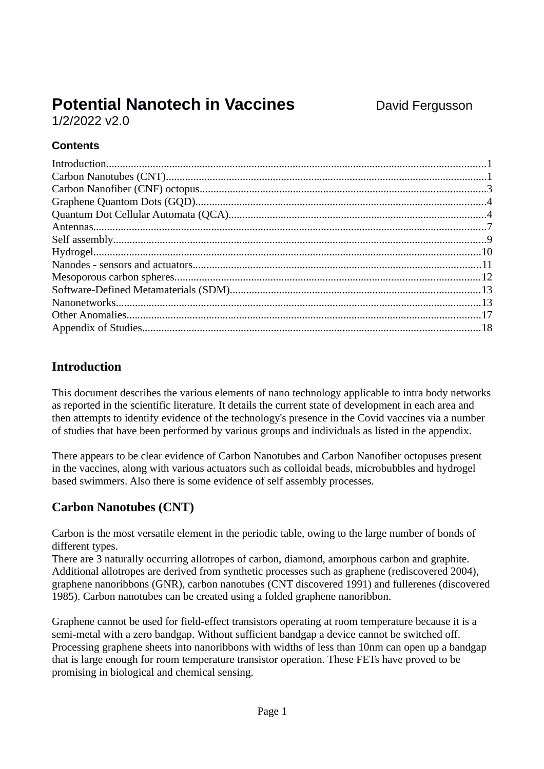# **Potential Nanotech in Vaccines** David Fergusson

1/2/2022 v2.0

## **Contents**

# **Introduction**

This document describes the various elements of nano technology applicable to intra body networks as reported in the scientific literature. It details the current state of development in each area and then attempts to identify evidence of the technology's presence in the Covid vaccines via a number of studies that have been performed by various groups and individuals as listed in the appendix.

There appears to be clear evidence of Carbon Nanotubes and Carbon Nanofiber octopuses present in the vaccines, along with various actuators such as colloidal beads, microbubbles and hydrogel based swimmers. Also there is some evidence of self assembly processes.

# **Carbon Nanotubes (CNT)**

Carbon is the most versatile element in the periodic table, owing to the large number of bonds of different types.

There are 3 naturally occurring allotropes of carbon, diamond, amorphous carbon and graphite. Additional allotropes are derived from synthetic processes such as graphene (rediscovered 2004), graphene nanoribbons (GNR), carbon nanotubes (CNT discovered 1991) and fullerenes (discovered 1985). Carbon nanotubes can be created using a folded graphene nanoribbon.

Graphene cannot be used for field-effect transistors operating at room temperature because it is a semi-metal with a zero bandgap. Without sufficient bandgap a device cannot be switched off. Processing graphene sheets into nanoribbons with widths of less than 10nm can open up a bandgap that is large enough for room temperature transistor operation. These FETs have proved to be promising in biological and chemical sensing.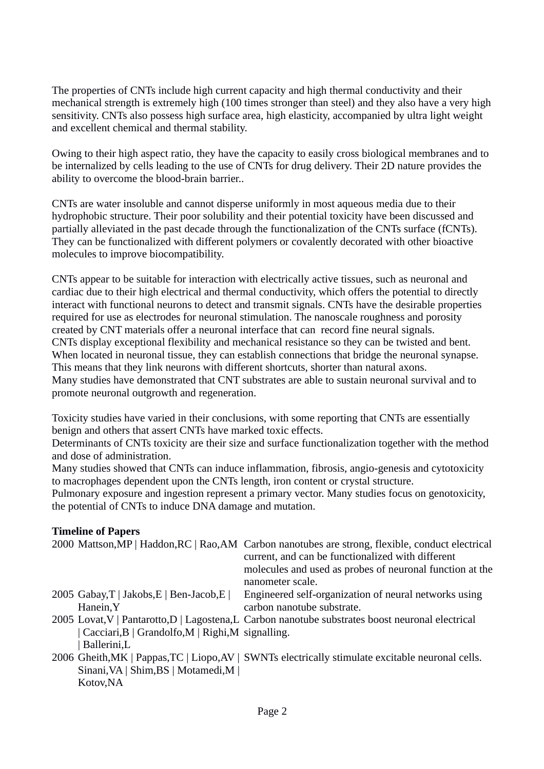The properties of CNTs include high current capacity and high thermal conductivity and their mechanical strength is extremely high (100 times stronger than steel) and they also have a very high sensitivity. CNTs also possess high surface area, high elasticity, accompanied by ultra light weight and excellent chemical and thermal stability.

Owing to their high aspect ratio, they have the capacity to easily cross biological membranes and to be internalized by cells leading to the use of CNTs for drug delivery. Their 2D nature provides the ability to overcome the blood-brain barrier..

CNTs are water insoluble and cannot disperse uniformly in most aqueous media due to their hydrophobic structure. Their poor solubility and their potential toxicity have been discussed and partially alleviated in the past decade through the functionalization of the CNTs surface (fCNTs). They can be functionalized with different polymers or covalently decorated with other bioactive molecules to improve biocompatibility.

CNTs appear to be suitable for interaction with electrically active tissues, such as neuronal and cardiac due to their high electrical and thermal conductivity, which offers the potential to directly interact with functional neurons to detect and transmit signals. CNTs have the desirable properties required for use as electrodes for neuronal stimulation. The nanoscale roughness and porosity created by CNT materials offer a neuronal interface that can record fine neural signals. CNTs display exceptional flexibility and mechanical resistance so they can be twisted and bent. When located in neuronal tissue, they can establish connections that bridge the neuronal synapse. This means that they link neurons with different shortcuts, shorter than natural axons. Many studies have demonstrated that CNT substrates are able to sustain neuronal survival and to promote neuronal outgrowth and regeneration.

Toxicity studies have varied in their conclusions, with some reporting that CNTs are essentially benign and others that assert CNTs have marked toxic effects.

Determinants of CNTs toxicity are their size and surface functionalization together with the method and dose of administration.

Many studies showed that CNTs can induce inflammation, fibrosis, angio-genesis and cytotoxicity to macrophages dependent upon the CNTs length, iron content or crystal structure.

Pulmonary exposure and ingestion represent a primary vector. Many studies focus on genotoxicity, the potential of CNTs to induce DNA damage and mutation.

### **Timeline of Papers**

|                                                     | 2000 Mattson, MP   Haddon, RC   Rao, AM Carbon nanotubes are strong, flexible, conduct electrical<br>current, and can be functionalized with different |
|-----------------------------------------------------|--------------------------------------------------------------------------------------------------------------------------------------------------------|
|                                                     | molecules and used as probes of neuronal function at the<br>nanometer scale.                                                                           |
|                                                     |                                                                                                                                                        |
| 2005 Gabay, $T$   Jakobs, $E$   Ben-Jacob, $E$      | Engineered self-organization of neural networks using                                                                                                  |
| Hanein, Y                                           | carbon nanotube substrate.                                                                                                                             |
|                                                     | 2005 Lovat, V   Pantarotto, D   Lagostena, L Carbon nanotube substrates boost neuronal electrical                                                      |
| $Cacciari, B   Grandolfo, M   Right, M signalling.$ |                                                                                                                                                        |
| Ballerini,L                                         |                                                                                                                                                        |
|                                                     | 2006 Gheith, MK   Pappas, TC   Liopo, AV   SWNTs electrically stimulate excitable neuronal cells.                                                      |
| Sinani, VA   Shim, BS   Motamedi, M                 |                                                                                                                                                        |
| Kotov, NA                                           |                                                                                                                                                        |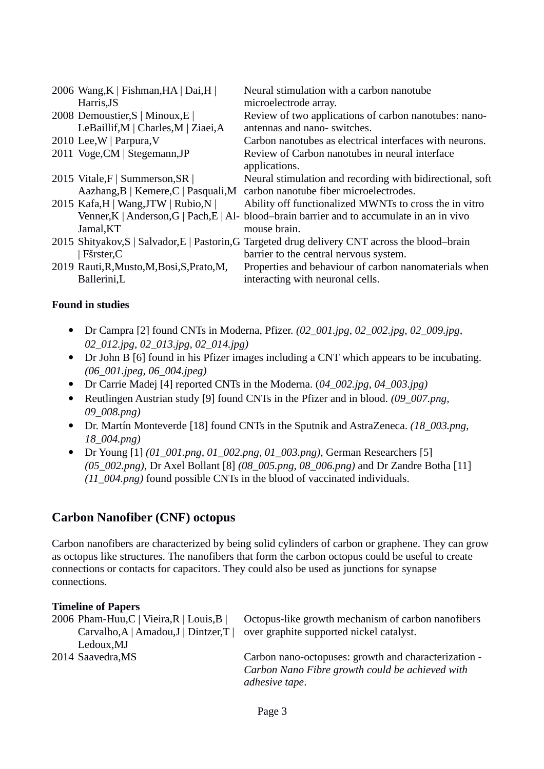| 2006 Wang, K   Fishman, HA   Dai, H  <br>Harris, JS | Neural stimulation with a carbon nanotube<br>microelectrode array.                              |
|-----------------------------------------------------|-------------------------------------------------------------------------------------------------|
| 2008 Demoustier, S   Minoux, E                      | Review of two applications of carbon nanotubes: nano-                                           |
| LeBaillif, M   Charles, M   Ziaei, A                | antennas and nano-switches.                                                                     |
| 2010 Lee, W   Parpura, V                            | Carbon nanotubes as electrical interfaces with neurons.                                         |
| 2011 Voge, CM   Stegemann, JP                       | Review of Carbon nanotubes in neural interface                                                  |
|                                                     | applications.                                                                                   |
| 2015 Vitale, F   Summerson, SR                      | Neural stimulation and recording with bidirectional, soft                                       |
|                                                     | Aazhang, B   Kemere, C   Pasquali, M carbon nanotube fiber microelectrodes.                     |
| 2015 Kafa, H   Wang, JTW   Rubio, N                 | Ability off functionalized MWNTs to cross the in vitro                                          |
|                                                     | Venner, K   Anderson, G   Pach, E   Al- blood-brain barrier and to accumulate in an in vivo     |
| Jamal, KT                                           | mouse brain.                                                                                    |
|                                                     | 2015 Shityakov, S   Salvador, E   Pastorin, G Targeted drug delivery CNT across the blood-brain |
| Fšrster, C                                          | barrier to the central nervous system.                                                          |
| 2019 Rauti, R, Musto, M, Bosi, S, Prato, M,         | Properties and behaviour of carbon nanomaterials when                                           |
| Ballerini,L                                         | interacting with neuronal cells.                                                                |

- Dr Campra [2] found CNTs in Moderna, Pfizer. *(02\_001.jpg, 02\_002.jpg, 02\_009.jpg, 02\_012.jpg, 02\_013.jpg, 02\_014.jpg)*
- Dr John B [6] found in his Pfizer images including a CNT which appears to be incubating. *(06\_001.jpeg, 06\_004.jpeg)*
- Dr Carrie Madej [4] reported CNTs in the Moderna. (*04\_002.jpg, 04\_003.jpg)*
- Reutlingen Austrian study [9] found CNTs in the Pfizer and in blood. *(09\_007.png, 09\_008.png)*
- Dr. Martín Monteverde [18] found CNTs in the Sputnik and AstraZeneca. *(18\_003.png, 18\_004.png)*
- Dr Young [1] *(01\_001.png, 01\_002.png, 01\_003.png)*, German Researchers [5] *(05\_002.png)*, Dr Axel Bollant [8] *(08\_005.png, 08\_006.png)* and Dr Zandre Botha [11] *(11\_004.png)* found possible CNTs in the blood of vaccinated individuals.

### **Carbon Nanofiber (CNF) octopus**

Carbon nanofibers are characterized by being solid cylinders of carbon or graphene. They can grow as octopus like structures. The nanofibers that form the carbon octopus could be useful to create connections or contacts for capacitors. They could also be used as junctions for synapse connections.

#### **Timeline of Papers**

| 2006 Pham-Huu, C   Vieira, R   Louis, B       | Octopus-like growth mechanism of carbon nanofibers   |
|-----------------------------------------------|------------------------------------------------------|
| Carvalho, $A   A$ madou, $J  $ Dintzer, $T  $ | over graphite supported nickel catalyst.             |
| Ledoux, MJ                                    |                                                      |
| 2014 Saavedra, MS                             | Carbon nano-octopuses: growth and characterization - |
|                                               | Carbon Nano Fibre growth could be achieved with      |
|                                               | adhesive tape.                                       |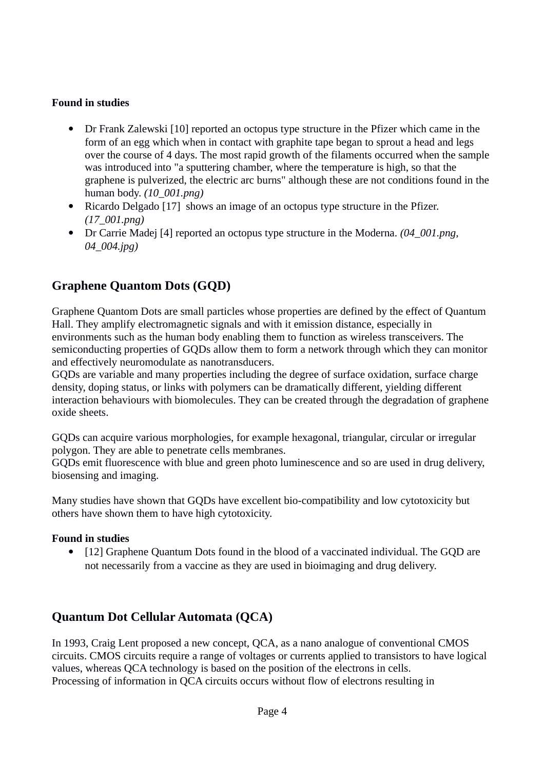- Dr Frank Zalewski [10] reported an octopus type structure in the Pfizer which came in the form of an egg which when in contact with graphite tape began to sprout a head and legs over the course of 4 days. The most rapid growth of the filaments occurred when the sample was introduced into "a sputtering chamber, where the temperature is high, so that the graphene is pulverized, the electric arc burns" although these are not conditions found in the human body. *(10\_001.png)*
- Ricardo Delgado [17] shows an image of an octopus type structure in the Pfizer. *(17\_001.png)*
- Dr Carrie Madej [4] reported an octopus type structure in the Moderna. *(04\_001.png, 04\_004.jpg)*

# **Graphene Quantom Dots (GQD)**

Graphene Quantom Dots are small particles whose properties are defined by the effect of Quantum Hall. They amplify electromagnetic signals and with it emission distance, especially in environments such as the human body enabling them to function as wireless transceivers. The semiconducting properties of GQDs allow them to form a network through which they can monitor and effectively neuromodulate as nanotransducers.

GQDs are variable and many properties including the degree of surface oxidation, surface charge density, doping status, or links with polymers can be dramatically different, yielding different interaction behaviours with biomolecules. They can be created through the degradation of graphene oxide sheets.

GQDs can acquire various morphologies, for example hexagonal, triangular, circular or irregular polygon. They are able to penetrate cells membranes.

GQDs emit fluorescence with blue and green photo luminescence and so are used in drug delivery, biosensing and imaging.

Many studies have shown that GQDs have excellent bio-compatibility and low cytotoxicity but others have shown them to have high cytotoxicity.

### **Found in studies**

 [12] Graphene Quantum Dots found in the blood of a vaccinated individual. The GQD are not necessarily from a vaccine as they are used in bioimaging and drug delivery.

# **Quantum Dot Cellular Automata (QCA)**

In 1993, Craig Lent proposed a new concept, QCA, as a nano analogue of conventional CMOS circuits. CMOS circuits require a range of voltages or currents applied to transistors to have logical values, whereas QCA technology is based on the position of the electrons in cells. Processing of information in QCA circuits occurs without flow of electrons resulting in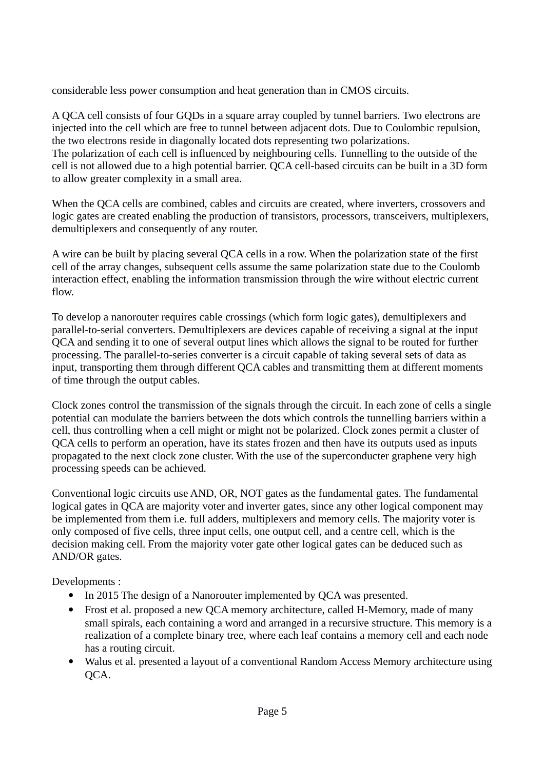considerable less power consumption and heat generation than in CMOS circuits.

A QCA cell consists of four GQDs in a square array coupled by tunnel barriers. Two electrons are injected into the cell which are free to tunnel between adjacent dots. Due to Coulombic repulsion, the two electrons reside in diagonally located dots representing two polarizations. The polarization of each cell is influenced by neighbouring cells. Tunnelling to the outside of the cell is not allowed due to a high potential barrier. QCA cell-based circuits can be built in a 3D form to allow greater complexity in a small area.

When the QCA cells are combined, cables and circuits are created, where inverters, crossovers and logic gates are created enabling the production of transistors, processors, transceivers, multiplexers, demultiplexers and consequently of any router.

A wire can be built by placing several QCA cells in a row. When the polarization state of the first cell of the array changes, subsequent cells assume the same polarization state due to the Coulomb interaction effect, enabling the information transmission through the wire without electric current flow.

To develop a nanorouter requires cable crossings (which form logic gates), demultiplexers and parallel-to-serial converters. Demultiplexers are devices capable of receiving a signal at the input QCA and sending it to one of several output lines which allows the signal to be routed for further processing. The parallel-to-series converter is a circuit capable of taking several sets of data as input, transporting them through different QCA cables and transmitting them at different moments of time through the output cables.

Clock zones control the transmission of the signals through the circuit. In each zone of cells a single potential can modulate the barriers between the dots which controls the tunnelling barriers within a cell, thus controlling when a cell might or might not be polarized. Clock zones permit a cluster of QCA cells to perform an operation, have its states frozen and then have its outputs used as inputs propagated to the next clock zone cluster. With the use of the superconducter graphene very high processing speeds can be achieved.

Conventional logic circuits use AND, OR, NOT gates as the fundamental gates. The fundamental logical gates in QCA are majority voter and inverter gates, since any other logical component may be implemented from them i.e. full adders, multiplexers and memory cells. The majority voter is only composed of five cells, three input cells, one output cell, and a centre cell, which is the decision making cell. From the majority voter gate other logical gates can be deduced such as AND/OR gates.

Developments :

- In 2015 The design of a Nanorouter implemented by QCA was presented.
- Frost et al. proposed a new QCA memory architecture, called H-Memory, made of many small spirals, each containing a word and arranged in a recursive structure. This memory is a realization of a complete binary tree, where each leaf contains a memory cell and each node has a routing circuit.
- Walus et al. presented a layout of a conventional Random Access Memory architecture using QCA.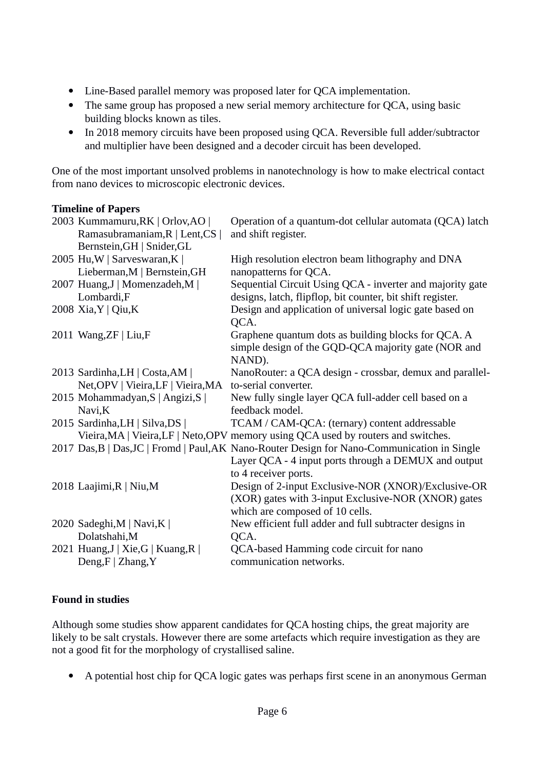- Line-Based parallel memory was proposed later for QCA implementation.
- The same group has proposed a new serial memory architecture for QCA, using basic building blocks known as tiles.
- In 2018 memory circuits have been proposed using QCA. Reversible full adder/subtractor and multiplier have been designed and a decoder circuit has been developed.

One of the most important unsolved problems in nanotechnology is how to make electrical contact from nano devices to microscopic electronic devices.

#### **Timeline of Papers**

| 2003 Kummamuru, RK   Orlov, AO  <br>Ramasubramaniam, R   Lent, CS  <br>Bernstein, GH   Snider, GL | Operation of a quantum-dot cellular automata (QCA) latch<br>and shift register.                                                                                       |
|---------------------------------------------------------------------------------------------------|-----------------------------------------------------------------------------------------------------------------------------------------------------------------------|
| 2005 Hu, W   Sarveswaran, K  <br>Lieberman, M   Bernstein, GH                                     | High resolution electron beam lithography and DNA<br>nanopatterns for QCA.                                                                                            |
| 2007 Huang, J   Momenzadeh, M  <br>Lombardi,F                                                     | Sequential Circuit Using QCA - inverter and majority gate<br>designs, latch, flipflop, bit counter, bit shift register.                                               |
| 2008 Xia, Y   Qiu, K                                                                              | Design and application of universal logic gate based on<br>QCA.                                                                                                       |
| 2011 Wang, ZF   Liu, F                                                                            | Graphene quantum dots as building blocks for QCA. A<br>simple design of the GQD-QCA majority gate (NOR and<br>NAND).                                                  |
| 2013 Sardinha, LH   Costa, AM  <br>Net, OPV   Vieira, LF   Vieira, MA                             | NanoRouter: a QCA design - crossbar, demux and parallel-<br>to-serial converter.                                                                                      |
| 2015 Mohammadyan, S   Angizi, S  <br>Navi,K                                                       | New fully single layer QCA full-adder cell based on a<br>feedback model.                                                                                              |
| 2015 Sardinha, LH   Silva, DS                                                                     | TCAM / CAM-QCA: (ternary) content addressable<br>Vieira, MA   Vieira, LF   Neto, OPV memory using QCA used by routers and switches.                                   |
|                                                                                                   | 2017 Das, B   Das, JC   Fromd   Paul, AK Nano-Router Design for Nano-Communication in Single<br>Layer QCA - 4 input ports through a DEMUX and output                  |
| 2018 Laajimi, R   Niu, M                                                                          | to 4 receiver ports.<br>Design of 2-input Exclusive-NOR (XNOR)/Exclusive-OR<br>(XOR) gates with 3-input Exclusive-NOR (XNOR) gates<br>which are composed of 10 cells. |
| 2020 Sadeghi, M   Navi, K  <br>Dolatshahi, M                                                      | New efficient full adder and full subtracter designs in<br>QCA.                                                                                                       |
| 2021 Huang, J   Xie, G   Kuang, R  <br>Deng, $F$   Zhang, Y                                       | QCA-based Hamming code circuit for nano<br>communication networks.                                                                                                    |

### **Found in studies**

Although some studies show apparent candidates for QCA hosting chips, the great majority are likely to be salt crystals. However there are some artefacts which require investigation as they are not a good fit for the morphology of crystallised saline.

A potential host chip for QCA logic gates was perhaps first scene in an anonymous German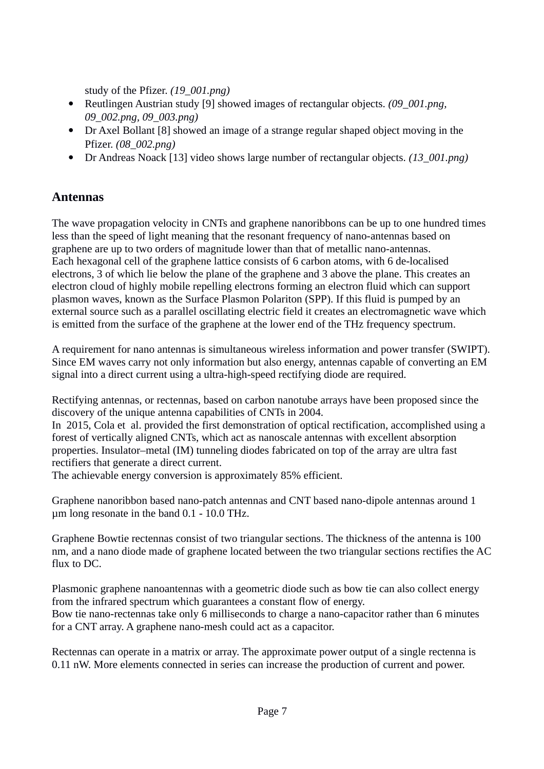study of the Pfizer. *(19\_001.png)*

- Reutlingen Austrian study [9] showed images of rectangular objects. *(09\_001.png, 09\_002.png, 09\_003.png)*
- Dr Axel Bollant [8] showed an image of a strange regular shaped object moving in the Pfizer. *(08\_002.png)*
- Dr Andreas Noack [13] video shows large number of rectangular objects. *(13\_001.png)*

# **Antennas**

The wave propagation velocity in CNTs and graphene nanoribbons can be up to one hundred times less than the speed of light meaning that the resonant frequency of nano-antennas based on graphene are up to two orders of magnitude lower than that of metallic nano-antennas. Each hexagonal cell of the graphene lattice consists of 6 carbon atoms, with 6 de-localised electrons, 3 of which lie below the plane of the graphene and 3 above the plane. This creates an electron cloud of highly mobile repelling electrons forming an electron fluid which can support plasmon waves, known as the Surface Plasmon Polariton (SPP). If this fluid is pumped by an external source such as a parallel oscillating electric field it creates an electromagnetic wave which is emitted from the surface of the graphene at the lower end of the THz frequency spectrum.

A requirement for nano antennas is simultaneous wireless information and power transfer (SWIPT). Since EM waves carry not only information but also energy, antennas capable of converting an EM signal into a direct current using a ultra-high-speed rectifying diode are required.

Rectifying antennas, or rectennas, based on carbon nanotube arrays have been proposed since the discovery of the unique antenna capabilities of CNTs in 2004.

In 2015, Cola et al. provided the first demonstration of optical rectification, accomplished using a forest of vertically aligned CNTs, which act as nanoscale antennas with excellent absorption properties. Insulator–metal (IM) tunneling diodes fabricated on top of the array are ultra fast rectifiers that generate a direct current.

The achievable energy conversion is approximately 85% efficient.

Graphene nanoribbon based nano-patch antennas and CNT based nano-dipole antennas around 1 µm long resonate in the band 0.1 - 10.0 THz.

Graphene Bowtie rectennas consist of two triangular sections. The thickness of the antenna is 100 nm, and a nano diode made of graphene located between the two triangular sections rectifies the AC flux to DC.

Plasmonic graphene nanoantennas with a geometric diode such as bow tie can also collect energy from the infrared spectrum which guarantees a constant flow of energy. Bow tie nano-rectennas take only 6 milliseconds to charge a nano-capacitor rather than 6 minutes for a CNT array. A graphene nano-mesh could act as a capacitor.

Rectennas can operate in a matrix or array. The approximate power output of a single rectenna is 0.11 nW. More elements connected in series can increase the production of current and power.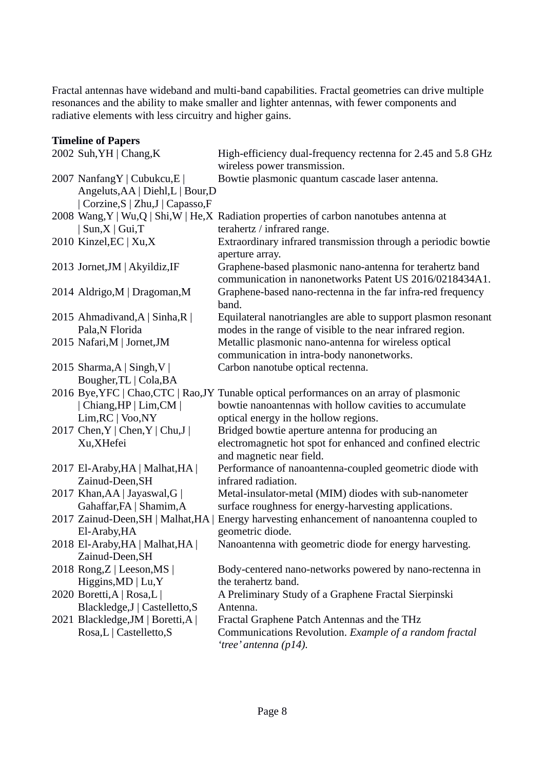Fractal antennas have wideband and multi-band capabilities. Fractal geometries can drive multiple resonances and the ability to make smaller and lighter antennas, with fewer components and radiative elements with less circuitry and higher gains.

#### **Timeline of Papers**

| 2002 Suh, YH   Chang, K                                           | High-efficiency dual-frequency rectenna for 2.45 and 5.8 GHz<br>wireless power transmission.                        |
|-------------------------------------------------------------------|---------------------------------------------------------------------------------------------------------------------|
| 2007 NanfangY   Cubukcu, E  <br>Angeluts, AA   Diehl, L   Bour, D | Bowtie plasmonic quantum cascade laser antenna.                                                                     |
| Corzine, S   Zhu, J   Capasso, F                                  |                                                                                                                     |
|                                                                   | 2008 Wang, Y   Wu, Q   Shi, W   He, X Radiation properties of carbon nanotubes antenna at                           |
| $Sun, X \mid Gui, T$                                              | terahertz / infrared range.                                                                                         |
| 2010 Kinzel, EC   Xu, X                                           | Extraordinary infrared transmission through a periodic bowtie<br>aperture array.                                    |
| 2013 Jornet, JM   Akyildiz, IF                                    | Graphene-based plasmonic nano-antenna for terahertz band<br>communication in nanonetworks Patent US 2016/0218434A1. |
| 2014 Aldrigo, M   Dragoman, M                                     | Graphene-based nano-rectenna in the far infra-red frequency<br>band.                                                |
| 2015 Ahmadivand, A   Sinha, R                                     | Equilateral nanotriangles are able to support plasmon resonant                                                      |
| Pala, N Florida                                                   | modes in the range of visible to the near infrared region.                                                          |
| 2015 Nafari, M   Jornet, JM                                       | Metallic plasmonic nano-antenna for wireless optical                                                                |
|                                                                   | communication in intra-body nanonetworks.                                                                           |
| 2015 Sharma, A   Singh, V                                         | Carbon nanotube optical rectenna.                                                                                   |
| Bougher, TL   Cola, BA                                            |                                                                                                                     |
|                                                                   | 2016 Bye, YFC   Chao, CTC   Rao, JY Tunable optical performances on an array of plasmonic                           |
| Chiang, HP   Lim, CM                                              | bowtie nanoantennas with hollow cavities to accumulate                                                              |
| $Lim, RC \mid Voo, NY$                                            | optical energy in the hollow regions.                                                                               |
| 2017 Chen, Y   Chen, Y   Chu, J                                   | Bridged bowtie aperture antenna for producing an                                                                    |
| Xu, XHefei                                                        | electromagnetic hot spot for enhanced and confined electric<br>and magnetic near field.                             |
| 2017 El-Araby, HA   Malhat, HA                                    | Performance of nanoantenna-coupled geometric diode with                                                             |
| Zainud-Deen, SH                                                   | infrared radiation.                                                                                                 |
| 2017 Khan, AA   Jayaswal, G                                       | Metal-insulator-metal (MIM) diodes with sub-nanometer                                                               |
| Gahaffar, FA   Shamim, A                                          | surface roughness for energy-harvesting applications.                                                               |
| 2017 Zainud-Deen, SH   Malhat, HA                                 | Energy harvesting enhancement of nanoantenna coupled to                                                             |
| El-Araby, HA                                                      | geometric diode.                                                                                                    |
| 2018 El-Araby, HA   Malhat, HA                                    | Nanoantenna with geometric diode for energy harvesting.                                                             |
| Zainud-Deen, SH                                                   |                                                                                                                     |
| 2018 Rong, Z   Leeson, MS                                         | Body-centered nano-networks powered by nano-rectenna in                                                             |
| Higgins, $MD   Lu, Y$                                             | the terahertz band.                                                                                                 |
| 2020 Boretti, A   Rosa, L                                         | A Preliminary Study of a Graphene Fractal Sierpinski                                                                |
| Blackledge, J   Castelletto, S                                    | Antenna.                                                                                                            |
| 2021 Blackledge, JM   Boretti, A                                  | Fractal Graphene Patch Antennas and the THz                                                                         |
| Rosa,L   Castelletto,S                                            | Communications Revolution. Example of a random fractal<br>'tree' antenna (p14).                                     |
|                                                                   |                                                                                                                     |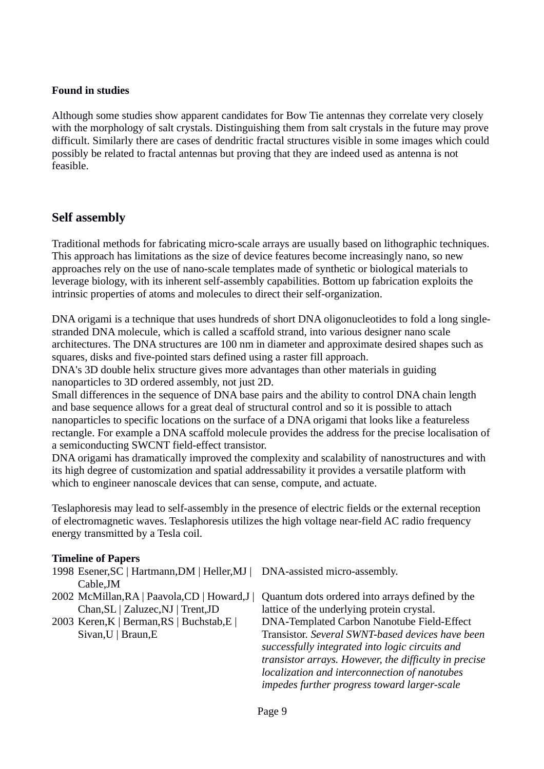Although some studies show apparent candidates for Bow Tie antennas they correlate very closely with the morphology of salt crystals. Distinguishing them from salt crystals in the future may prove difficult. Similarly there are cases of dendritic fractal structures visible in some images which could possibly be related to fractal antennas but proving that they are indeed used as antenna is not feasible.

### **Self assembly**

Traditional methods for fabricating micro-scale arrays are usually based on lithographic techniques. This approach has limitations as the size of device features become increasingly nano, so new approaches rely on the use of nano-scale templates made of synthetic or biological materials to leverage biology, with its inherent self-assembly capabilities. Bottom up fabrication exploits the intrinsic properties of atoms and molecules to direct their self-organization.

DNA origami is a technique that uses hundreds of short DNA oligonucleotides to fold a long singlestranded DNA molecule, which is called a scaffold strand, into various designer nano scale architectures. The DNA structures are 100 nm in diameter and approximate desired shapes such as squares, disks and five-pointed stars defined using a raster fill approach.

DNA's 3D double helix structure gives more advantages than other materials in guiding nanoparticles to 3D ordered assembly, not just 2D.

Small differences in the sequence of DNA base pairs and the ability to control DNA chain length and base sequence allows for a great deal of structural control and so it is possible to attach nanoparticles to specific locations on the surface of a DNA origami that looks like a featureless rectangle. For example a DNA scaffold molecule provides the address for the precise localisation of a semiconducting SWCNT field-effect transistor.

DNA origami has dramatically improved the complexity and scalability of nanostructures and with its high degree of customization and spatial addressability it provides a versatile platform with which to engineer nanoscale devices that can sense, compute, and actuate.

Teslaphoresis may lead to self-assembly in the presence of electric fields or the external reception of electromagnetic waves. Teslaphoresis utilizes the high voltage near-field AC radio frequency energy transmitted by a Tesla coil.

#### **Timeline of Papers**

- 1998 Esener, SC | Hartmann, DM | Heller, MJ | DNA-assisted micro-assembly. Cable,JM
- Chan,SL | Zaluzec,NJ | Trent,JD
- 2003 Keren,K | Berman,RS | Buchstab,E | Sivan,U | Braun,E

2002 McMillan, RA | Paavola, CD | Howard, J | Quantum dots ordered into arrays defined by the lattice of the underlying protein crystal. DNA-Templated Carbon Nanotube Field-Effect Transistor. *Several SWNT-based devices have been successfully integrated into logic circuits and transistor arrays. However, the difficulty in precise localization and interconnection of nanotubes impedes further progress toward larger-scale*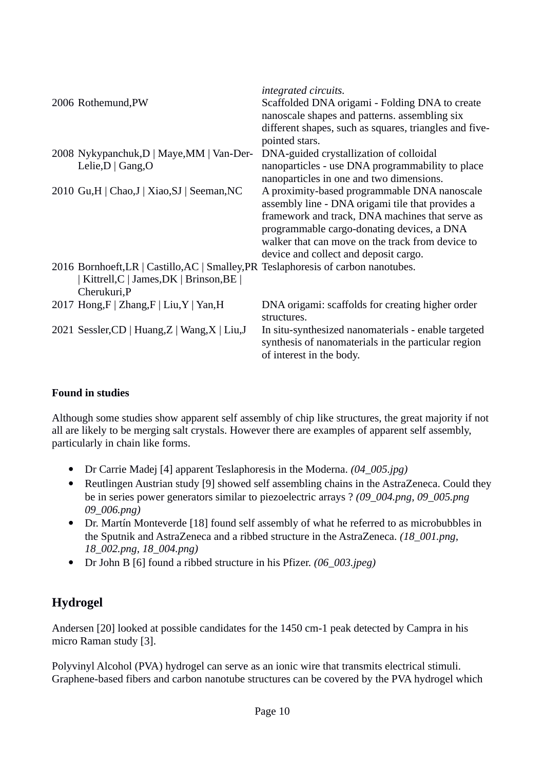|                                                                                    | integrated circuits.                                                                                                                   |
|------------------------------------------------------------------------------------|----------------------------------------------------------------------------------------------------------------------------------------|
| 2006 Rothemund, PW                                                                 | Scaffolded DNA origami - Folding DNA to create                                                                                         |
|                                                                                    | nanoscale shapes and patterns. assembling six                                                                                          |
|                                                                                    | different shapes, such as squares, triangles and five-<br>pointed stars.                                                               |
| 2008 Nykypanchuk, D   Maye, MM   Van-Der-                                          | DNA-guided crystallization of colloidal                                                                                                |
| Lelie, $D  $ Gang, $O$                                                             | nanoparticles - use DNA programmability to place                                                                                       |
|                                                                                    | nanoparticles in one and two dimensions.                                                                                               |
| 2010 Gu, H   Chao, J   Xiao, SJ   Seeman, NC                                       | A proximity-based programmable DNA nanoscale                                                                                           |
|                                                                                    | assembly line - DNA origami tile that provides a                                                                                       |
|                                                                                    | framework and track, DNA machines that serve as                                                                                        |
|                                                                                    | programmable cargo-donating devices, a DNA                                                                                             |
|                                                                                    | walker that can move on the track from device to                                                                                       |
|                                                                                    | device and collect and deposit cargo.                                                                                                  |
| 2016 Bornhoeft, LR   Castillo, AC   Smalley, PR Teslaphoresis of carbon nanotubes. |                                                                                                                                        |
| Kittrell, C   James, DK   Brinson, BE                                              |                                                                                                                                        |
| Cherukuri, P                                                                       |                                                                                                                                        |
| 2017 Hong, F   Zhang, F   Liu, Y   Yan, H                                          | DNA origami: scaffolds for creating higher order                                                                                       |
|                                                                                    | structures.                                                                                                                            |
| 2021 Sessler, CD   Huang, Z   Wang, X   Liu, J                                     | In situ-synthesized nanomaterials - enable targeted<br>synthesis of nanomaterials in the particular region<br>of interest in the body. |
|                                                                                    |                                                                                                                                        |

Although some studies show apparent self assembly of chip like structures, the great majority if not all are likely to be merging salt crystals. However there are examples of apparent self assembly, particularly in chain like forms.

- Dr Carrie Madej [4] apparent Teslaphoresis in the Moderna. *(04\_005.jpg)*
- Reutlingen Austrian study [9] showed self assembling chains in the AstraZeneca. Could they be in series power generators similar to piezoelectric arrays ? *(09\_004.png, 09\_005.png 09\_006.png)*
- Dr. Martín Monteverde [18] found self assembly of what he referred to as microbubbles in the Sputnik and AstraZeneca and a ribbed structure in the AstraZeneca. *(18\_001.png, 18\_002.png, 18\_004.png)*
- Dr John B [6] found a ribbed structure in his Pfizer. *(06\_003.jpeg)*

# **Hydrogel**

Andersen [20] looked at possible candidates for the 1450 cm-1 peak detected by Campra in his micro Raman study [3].

Polyvinyl Alcohol (PVA) hydrogel can serve as an ionic wire that transmits electrical stimuli. Graphene-based fibers and carbon nanotube structures can be covered by the PVA hydrogel which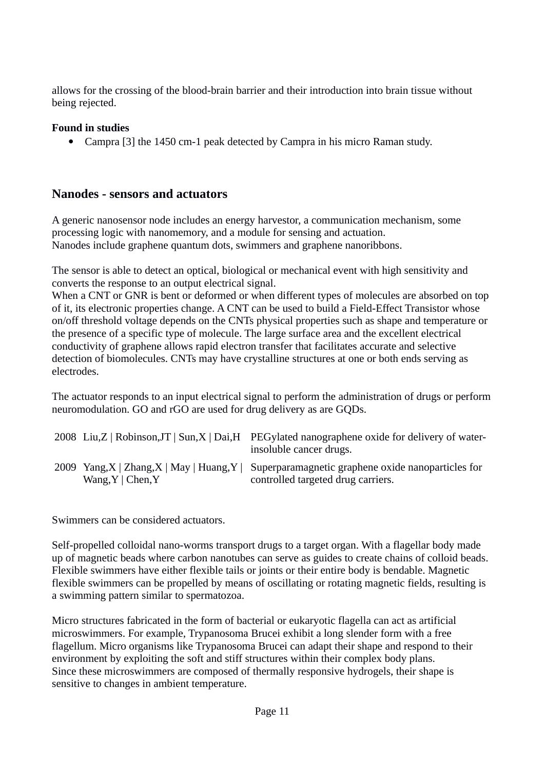allows for the crossing of the blood-brain barrier and their introduction into brain tissue without being rejected.

#### **Found in studies**

Campra [3] the 1450 cm-1 peak detected by Campra in his micro Raman study.

### **Nanodes - sensors and actuators**

A generic nanosensor node includes an energy harvestor, a communication mechanism, some processing logic with nanomemory, and a module for sensing and actuation. Nanodes include graphene quantum dots, swimmers and graphene nanoribbons.

The sensor is able to detect an optical, biological or mechanical event with high sensitivity and converts the response to an output electrical signal.

When a CNT or GNR is bent or deformed or when different types of molecules are absorbed on top of it, its electronic properties change. A CNT can be used to build a Field-Effect Transistor whose on/off threshold voltage depends on the CNTs physical properties such as shape and temperature or the presence of a specific type of molecule. The large surface area and the excellent electrical conductivity of graphene allows rapid electron transfer that facilitates accurate and selective detection of biomolecules. CNTs may have crystalline structures at one or both ends serving as electrodes.

The actuator responds to an input electrical signal to perform the administration of drugs or perform neuromodulation. GO and rGO are used for drug delivery as are GQDs.

|                               | 2008 Liu, Z   Robinson, JT   Sun, X   Dai, H PEGylated nanographene oxide for delivery of water-<br>insoluble cancer drugs.         |
|-------------------------------|-------------------------------------------------------------------------------------------------------------------------------------|
| Wang, $Y \mid \text{Chen}, Y$ | 2009 Yang, X   Zhang, X   May   Huang, Y   Superparamagnetic graphene oxide nanoparticles for<br>controlled targeted drug carriers. |

Swimmers can be considered actuators.

Self-propelled colloidal nano-worms transport drugs to a target organ. With a flagellar body made up of magnetic beads where carbon nanotubes can serve as guides to create chains of colloid beads. Flexible swimmers have either flexible tails or joints or their entire body is bendable. Magnetic flexible swimmers can be propelled by means of oscillating or rotating magnetic fields, resulting is a swimming pattern similar to spermatozoa.

Micro structures fabricated in the form of bacterial or eukaryotic flagella can act as artificial microswimmers. For example, Trypanosoma Brucei exhibit a long slender form with a free flagellum. Micro organisms like Trypanosoma Brucei can adapt their shape and respond to their environment by exploiting the soft and stiff structures within their complex body plans. Since these microswimmers are composed of thermally responsive hydrogels, their shape is sensitive to changes in ambient temperature.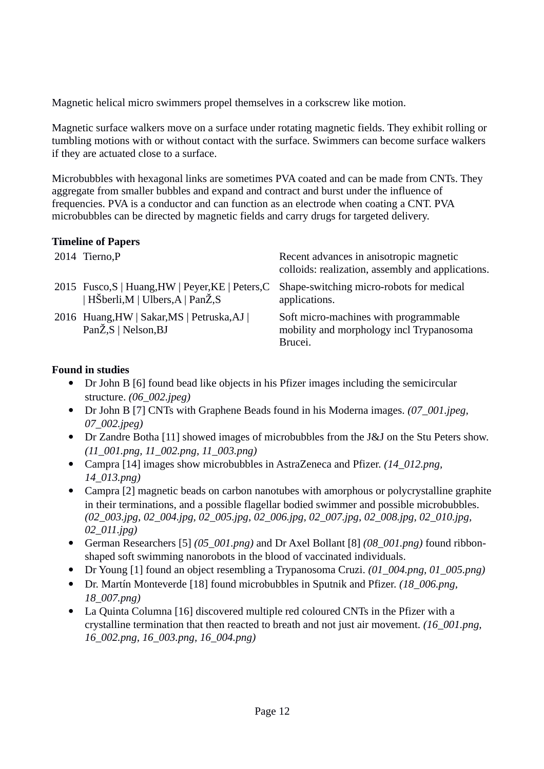Magnetic helical micro swimmers propel themselves in a corkscrew like motion.

Magnetic surface walkers move on a surface under rotating magnetic fields. They exhibit rolling or tumbling motions with or without contact with the surface. Swimmers can become surface walkers if they are actuated close to a surface.

Microbubbles with hexagonal links are sometimes PVA coated and can be made from CNTs. They aggregate from smaller bubbles and expand and contract and burst under the influence of frequencies. PVA is a conductor and can function as an electrode when coating a CNT. PVA microbubbles can be directed by magnetic fields and carry drugs for targeted delivery.

#### **Timeline of Papers**

| 2014 Tierno, P                                                                                                                | Recent advances in anisotropic magnetic<br>colloids: realization, assembly and applications. |
|-------------------------------------------------------------------------------------------------------------------------------|----------------------------------------------------------------------------------------------|
| 2015 Fusco, S   Huang, HW   Peyer, KE   Peters, C Shape-switching micro-robots for medical<br>  HŠberli,M   Ulbers,A   PanŽ,S | applications.                                                                                |
| 2016 Huang, HW   Sakar, MS   Petruska, AJ  <br>PanŽ,S   Nelson,BJ                                                             | Soft micro-machines with programmable<br>mobility and morphology incl Trypanosoma<br>Brucei. |

#### **Found in studies**

- Dr John B [6] found bead like objects in his Pfizer images including the semicircular structure. *(06\_002.jpeg)*
- Dr John B [7] CNTs with Graphene Beads found in his Moderna images. *(07\_001.jpeg, 07\_002.jpeg)*
- Dr Zandre Botha [11] showed images of microbubbles from the J&J on the Stu Peters show. *(11\_001.png, 11\_002.png, 11\_003.png)*
- Campra [14] images show microbubbles in AstraZeneca and Pfizer. *(14\_012.png, 14\_013.png)*
- Campra [2] magnetic beads on carbon nanotubes with amorphous or polycrystalline graphite in their terminations, and a possible flagellar bodied swimmer and possible microbubbles. *(02\_003.jpg, 02\_004.jpg, 02\_005.jpg, 02\_006.jpg, 02\_007.jpg, 02\_008.jpg, 02\_010.jpg, 02\_011.jpg)*
- German Researchers [5] *(05\_001.png)* and Dr Axel Bollant [8] *(08\_001.png)* found ribbonshaped soft swimming nanorobots in the blood of vaccinated individuals.
- Dr Young [1] found an object resembling a Trypanosoma Cruzi. *(01\_004.png, 01\_005.png)*
- Dr. Martín Monteverde [18] found microbubbles in Sputnik and Pfizer. *(18\_006.png, 18\_007.png)*
- La Quinta Columna [16] discovered multiple red coloured CNTs in the Pfizer with a crystalline termination that then reacted to breath and not just air movement. *(16\_001.png, 16\_002.png, 16\_003.png, 16\_004.png)*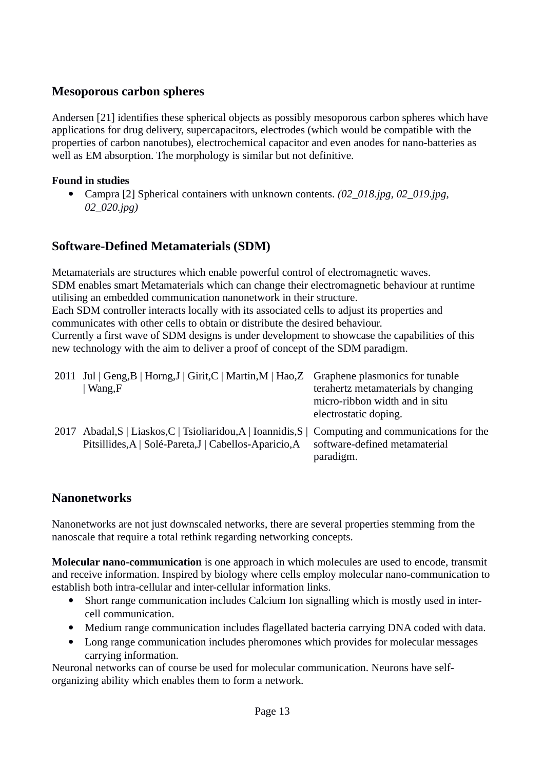# **Mesoporous carbon spheres**

Andersen [21] identifies these spherical objects as possibly mesoporous carbon spheres which have applications for drug delivery, supercapacitors, electrodes (which would be compatible with the properties of carbon nanotubes), electrochemical capacitor and even anodes for nano-batteries as well as EM absorption. The morphology is similar but not definitive.

### **Found in studies**

 Campra [2] Spherical containers with unknown contents. *(02\_018.jpg, 02\_019.jpg, 02\_020.jpg)*

# **Software-Defined Metamaterials (SDM)**

Metamaterials are structures which enable powerful control of electromagnetic waves. SDM enables smart Metamaterials which can change their electromagnetic behaviour at runtime utilising an embedded communication nanonetwork in their structure.

Each SDM controller interacts locally with its associated cells to adjust its properties and communicates with other cells to obtain or distribute the desired behaviour.

Currently a first wave of SDM designs is under development to showcase the capabilities of this new technology with the aim to deliver a proof of concept of the SDM paradigm.

| 2011 Jul   Geng, B   Horng, J   Girit, C   Martin, M   Hao, Z Graphene plasmonics for tunable<br>Wang, F                                                      | terahertz metamaterials by changing<br>micro-ribbon width and in situ<br>electrostatic doping. |
|---------------------------------------------------------------------------------------------------------------------------------------------------------------|------------------------------------------------------------------------------------------------|
| 2017 Abadal, S   Liaskos, C   Tsioliaridou, A   Ioannidis, S   Computing and communications for the<br>Pitsillides, A   Solé-Pareta, J   Cabellos-Aparicio, A | software-defined metamaterial<br>paradigm.                                                     |

# **Nanonetworks**

Nanonetworks are not just downscaled networks, there are several properties stemming from the nanoscale that require a total rethink regarding networking concepts.

**Molecular nano-communication** is one approach in which molecules are used to encode, transmit and receive information. Inspired by biology where cells employ molecular nano-communication to establish both intra-cellular and inter-cellular information links.

- Short range communication includes Calcium Ion signalling which is mostly used in intercell communication.
- Medium range communication includes flagellated bacteria carrying DNA coded with data.
- Long range communication includes pheromones which provides for molecular messages carrying information.

Neuronal networks can of course be used for molecular communication. Neurons have selforganizing ability which enables them to form a network.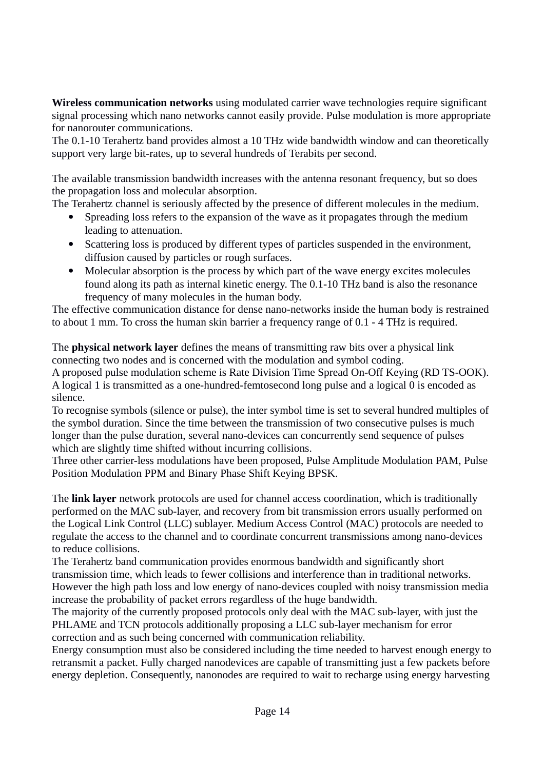**Wireless communication networks** using modulated carrier wave technologies require significant signal processing which nano networks cannot easily provide. Pulse modulation is more appropriate for nanorouter communications.

The 0.1-10 Terahertz band provides almost a 10 THz wide bandwidth window and can theoretically support very large bit-rates, up to several hundreds of Terabits per second.

The available transmission bandwidth increases with the antenna resonant frequency, but so does the propagation loss and molecular absorption.

The Terahertz channel is seriously affected by the presence of different molecules in the medium.

- Spreading loss refers to the expansion of the wave as it propagates through the medium leading to attenuation.
- Scattering loss is produced by different types of particles suspended in the environment, diffusion caused by particles or rough surfaces.
- Molecular absorption is the process by which part of the wave energy excites molecules found along its path as internal kinetic energy. The 0.1-10 THz band is also the resonance frequency of many molecules in the human body.

The effective communication distance for dense nano-networks inside the human body is restrained to about 1 mm. To cross the human skin barrier a frequency range of 0.1 - 4 THz is required.

The **physical network layer** defines the means of transmitting raw bits over a physical link connecting two nodes and is concerned with the modulation and symbol coding.

A proposed pulse modulation scheme is Rate Division Time Spread On-Off Keying (RD TS-OOK). A logical 1 is transmitted as a one-hundred-femtosecond long pulse and a logical 0 is encoded as silence.

To recognise symbols (silence or pulse), the inter symbol time is set to several hundred multiples of the symbol duration. Since the time between the transmission of two consecutive pulses is much longer than the pulse duration, several nano-devices can concurrently send sequence of pulses which are slightly time shifted without incurring collisions.

Three other carrier-less modulations have been proposed, Pulse Amplitude Modulation PAM, Pulse Position Modulation PPM and Binary Phase Shift Keying BPSK.

The **link layer** network protocols are used for channel access coordination, which is traditionally performed on the MAC sub-layer, and recovery from bit transmission errors usually performed on the Logical Link Control (LLC) sublayer. Medium Access Control (MAC) protocols are needed to regulate the access to the channel and to coordinate concurrent transmissions among nano-devices to reduce collisions.

The Terahertz band communication provides enormous bandwidth and significantly short transmission time, which leads to fewer collisions and interference than in traditional networks. However the high path loss and low energy of nano-devices coupled with noisy transmission media increase the probability of packet errors regardless of the huge bandwidth.

The majority of the currently proposed protocols only deal with the MAC sub-layer, with just the PHLAME and TCN protocols additionally proposing a LLC sub-layer mechanism for error correction and as such being concerned with communication reliability.

Energy consumption must also be considered including the time needed to harvest enough energy to retransmit a packet. Fully charged nanodevices are capable of transmitting just a few packets before energy depletion. Consequently, nanonodes are required to wait to recharge using energy harvesting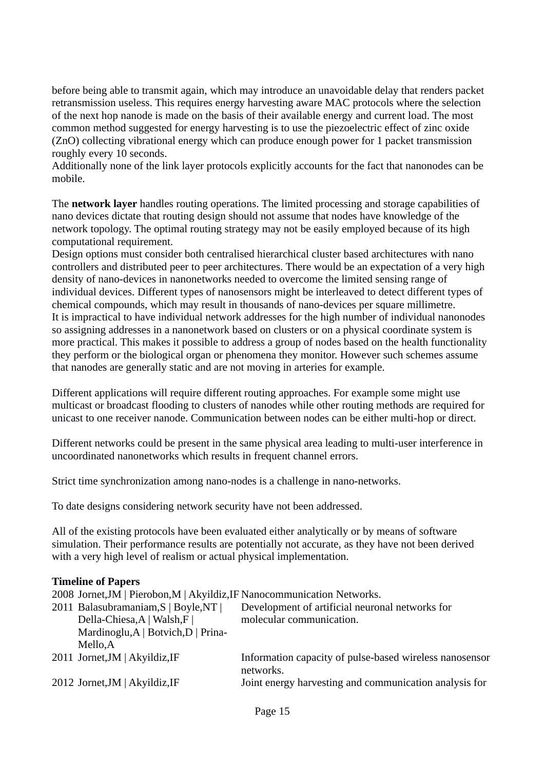before being able to transmit again, which may introduce an unavoidable delay that renders packet retransmission useless. This requires energy harvesting aware MAC protocols where the selection of the next hop nanode is made on the basis of their available energy and current load. The most common method suggested for energy harvesting is to use the piezoelectric effect of zinc oxide (ZnO) collecting vibrational energy which can produce enough power for 1 packet transmission roughly every 10 seconds.

Additionally none of the link layer protocols explicitly accounts for the fact that nanonodes can be mobile.

The **network layer** handles routing operations. The limited processing and storage capabilities of nano devices dictate that routing design should not assume that nodes have knowledge of the network topology. The optimal routing strategy may not be easily employed because of its high computational requirement.

Design options must consider both centralised hierarchical cluster based architectures with nano controllers and distributed peer to peer architectures. There would be an expectation of a very high density of nano-devices in nanonetworks needed to overcome the limited sensing range of individual devices. Different types of nanosensors might be interleaved to detect different types of chemical compounds, which may result in thousands of nano-devices per square millimetre. It is impractical to have individual network addresses for the high number of individual nanonodes so assigning addresses in a nanonetwork based on clusters or on a physical coordinate system is more practical. This makes it possible to address a group of nodes based on the health functionality they perform or the biological organ or phenomena they monitor. However such schemes assume that nanodes are generally static and are not moving in arteries for example.

Different applications will require different routing approaches. For example some might use multicast or broadcast flooding to clusters of nanodes while other routing methods are required for unicast to one receiver nanode. Communication between nodes can be either multi-hop or direct.

Different networks could be present in the same physical area leading to multi-user interference in uncoordinated nanonetworks which results in frequent channel errors.

Strict time synchronization among nano-nodes is a challenge in nano-networks.

To date designs considering network security have not been addressed.

All of the existing protocols have been evaluated either analytically or by means of software simulation. Their performance results are potentially not accurate, as they have not been derived with a very high level of realism or actual physical implementation.

#### **Timeline of Papers**

2008 Jornet,JM | Pierobon,M | Akyildiz,IF Nanocommunication Networks.

| 2011 Balasubramaniam, S   Boyle, NT | Development of artificial neuronal networks for                      |
|-------------------------------------|----------------------------------------------------------------------|
| Della-Chiesa, A   Walsh, F          | molecular communication.                                             |
| Mardinoglu, A   Botvich, D   Prina- |                                                                      |
| Mello,A                             |                                                                      |
| 2011 Jornet, JM   Akyildiz, IF      | Information capacity of pulse-based wireless nanosensor<br>networks. |
| 2012 Jornet, JM   Akyildiz, IF      | Joint energy harvesting and communication analysis for               |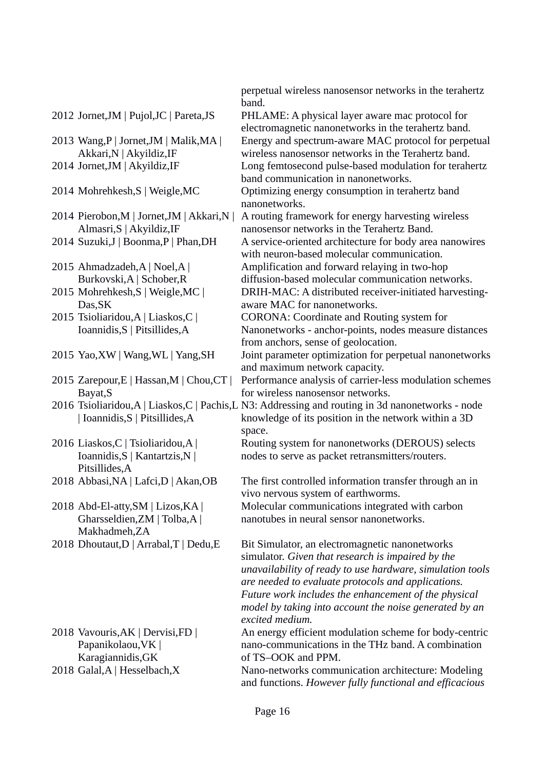- 2013 Wang,P | Jornet,JM | Malik,MA | Akkari,N | Akyildiz,IF
- 

2014 Pierobon, M | Jornet, JM | Akkari, N | Almasri,S | Akyildiz,IF

- 
- 2015 Ahmadzadeh,A | Noel,A | Burkovski,A | Schober,R
- 2015 Mohrehkesh,S | Weigle,MC | Das,SK
- 2015 Tsioliaridou,A | Liaskos,C | Ioannidis,S | Pitsillides,A
- 
- 2015 Zarepour,E | Hassan,M | Chou,CT | Bayat,S
- | Ioannidis,S | Pitsillides,A
- 2016 Liaskos,C | Tsioliaridou,A | Ioannidis,S | Kantartzis,N | Pitsillides,A
- 
- 2018 Abd-El-atty,SM | Lizos,KA | Gharsseldien,ZM | Tolba,A | Makhadmeh,ZA
- 
- 2018 Vavouris,AK | Dervisi,FD | Papanikolaou, VK | Karagiannidis,GK
- 

perpetual wireless nanosensor networks in the terahertz band.

2012 Jornet,JM | Pujol,JC | Pareta,JS PHLAME: A physical layer aware mac protocol for electromagnetic nanonetworks in the terahertz band. Energy and spectrum-aware MAC protocol for perpetual wireless nanosensor networks in the Terahertz band. 2014 Jornet,JM | Akyildiz,IF Long femtosecond pulse-based modulation for terahertz band communication in nanonetworks. 2014 Mohrehkesh,S | Weigle,MC Optimizing energy consumption in terahertz band

nanonetworks. A routing framework for energy harvesting wireless nanosensor networks in the Terahertz Band. 2014 Suzuki,J | Boonma,P | Phan,DH A service-oriented architecture for body area nanowires with neuron-based molecular communication. Amplification and forward relaying in two-hop diffusion-based molecular communication networks.

DRIH-MAC: A distributed receiver-initiated harvestingaware MAC for nanonetworks.

CORONA: Coordinate and Routing system for Nanonetworks - anchor-points, nodes measure distances from anchors, sense of geolocation.

- 2015 Yao, XW | Wang, WL | Yang, SH Joint parameter optimization for perpetual nanonetworks and maximum network capacity.
	- Performance analysis of carrier-less modulation schemes for wireless nanosensor networks.
- 2016 Tsioliaridou,A | Liaskos,C | Pachis,L N3: Addressing and routing in 3d nanonetworks node knowledge of its position in the network within a 3D space.

Routing system for nanonetworks (DEROUS) selects nodes to serve as packet retransmitters/routers.

2018 Abbasi, NA | Lafci, D | Akan, OB The first controlled information transfer through an in vivo nervous system of earthworms. Molecular communications integrated with carbon nanotubes in neural sensor nanonetworks.

2018 Dhoutaut,  $D |$  Arrabal,  $T |$  Dedu,  $E$  Bit Simulator, an electromagnetic nanonetworks simulator. *Given that research is impaired by the unavailability of ready to use hardware, simulation tools are needed to evaluate protocols and applications. Future work includes the enhancement of the physical model by taking into account the noise generated by an excited medium.*

> An energy efficient modulation scheme for body-centric nano-communications in the THz band. A combination of TS–OOK and PPM.

2018 Galal,A | Hesselbach,X Nano-networks communication architecture: Modeling and functions. *However fully functional and efficacious*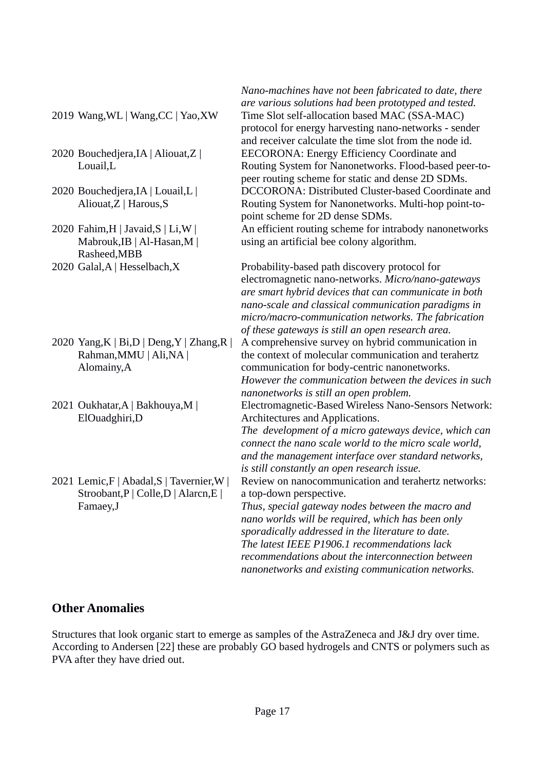- 
- 2020 Bouchedjera,IA | Aliouat,Z | Louail,L
- 2020 Bouchedjera,IA | Louail,L | Aliouat,Z | Harous,S
- 2020 Fahim,H | Javaid,S | Li,W | Mabrouk,IB | Al-Hasan,M | Rasheed,MBB
- 
- 2020 Yang,K | Bi,D | Deng,Y | Zhang,R | Rahman,MMU | Ali,NA | Alomainy,A
- 2021 Oukhatar,A | Bakhouya,M | ElOuadghiri,D
- 2021 Lemic,F | Abadal,S | Tavernier,W | Stroobant,P | Colle,D | Alarcn,E | Famaey,J

*Nano-machines have not been fabricated to date, there are various solutions had been prototyped and tested.* 2019 Wang,WL | Wang,CC | Yao,XW Time Slot self-allocation based MAC (SSA-MAC) protocol for energy harvesting nano-networks - sender and receiver calculate the time slot from the node id. EECORONA: Energy Efficiency Coordinate and Routing System for Nanonetworks. Flood-based peer-topeer routing scheme for static and dense 2D SDMs. DCCORONA: Distributed Cluster-based Coordinate and Routing System for Nanonetworks. Multi-hop point-topoint scheme for 2D dense SDMs. An efficient routing scheme for intrabody nanonetworks

using an artificial bee colony algorithm.

2020 Galal,A | Hesselbach,X Probability-based path discovery protocol for electromagnetic nano-networks. *Micro/nano-gateways are smart hybrid devices that can communicate in both nano-scale and classical communication paradigms in micro/macro-communication networks. The fabrication of these gateways is still an open research area.*

> A comprehensive survey on hybrid communication in the context of molecular communication and terahertz communication for body-centric nanonetworks. *However the communication between the devices in such nanonetworks is still an open problem.*

Electromagnetic-Based Wireless Nano-Sensors Network: Architectures and Applications.

*The development of a micro gateways device, which can connect the nano scale world to the micro scale world, and the management interface over standard networks, is still constantly an open research issue.*

Review on nanocommunication and terahertz networks: a top-down perspective.

*Thus, special gateway nodes between the macro and nano worlds will be required, which has been only sporadically addressed in the literature to date. The latest IEEE P1906.1 recommendations lack recommendations about the interconnection between nanonetworks and existing communication networks.*

### **Other Anomalies**

Structures that look organic start to emerge as samples of the AstraZeneca and J&J dry over time. According to Andersen [22] these are probably GO based hydrogels and CNTS or polymers such as PVA after they have dried out.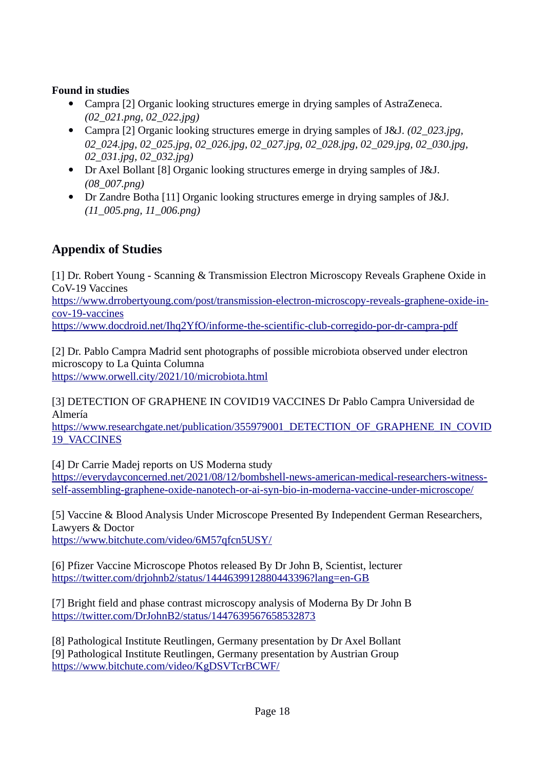- Campra [2] Organic looking structures emerge in drying samples of AstraZeneca. *(02\_021.png, 02\_022.jpg)*
- Campra [2] Organic looking structures emerge in drying samples of J&J. *(02\_023.jpg, 02\_024.jpg, 02\_025.jpg, 02\_026.jpg, 02\_027.jpg, 02\_028.jpg, 02\_029.jpg, 02\_030.jpg, 02\_031.jpg, 02\_032.jpg)*
- Dr Axel Bollant [8] Organic looking structures emerge in drying samples of J&J. *(08\_007.png)*
- Dr Zandre Botha [11] Organic looking structures emerge in drying samples of J&J. *(11\_005.png, 11\_006.png)*

# **Appendix of Studies**

[1] Dr. Robert Young - Scanning & Transmission Electron Microscopy Reveals Graphene Oxide in CoV-19 Vaccines

[https://www.drrobertyoung.com/post/transmission-electron-microscopy-reveals-graphene-oxide-in](https://www.drrobertyoung.com/post/transmission-electron-microscopy-reveals-graphene-oxide-in-cov-19-vaccines)[cov-19-vaccines](https://www.drrobertyoung.com/post/transmission-electron-microscopy-reveals-graphene-oxide-in-cov-19-vaccines)

<https://www.docdroid.net/Ihq2YfO/informe-the-scientific-club-corregido-por-dr-campra-pdf>

[2] Dr. Pablo Campra Madrid sent photographs of possible microbiota observed under electron microscopy to La Quinta Columna <https://www.orwell.city/2021/10/microbiota.html>

[3] DETECTION OF GRAPHENE IN COVID19 VACCINES Dr Pablo Campra Universidad de Almería

[https://www.researchgate.net/publication/355979001\\_DETECTION\\_OF\\_GRAPHENE\\_IN\\_COVID](https://www.researchgate.net/publication/355979001_DETECTION_OF_GRAPHENE_IN_COVID19_VACCINES) [19\\_VACCINES](https://www.researchgate.net/publication/355979001_DETECTION_OF_GRAPHENE_IN_COVID19_VACCINES)

[4] Dr Carrie Madej reports on US Moderna study

[https://everydayconcerned.net/2021/08/12/bombshell-news-american-medical-researchers-witness](https://everydayconcerned.net/2021/08/12/bombshell-news-american-medical-researchers-witness-self-assembling-graphene-oxide-nanotech-or-ai-syn-bio-in-moderna-vaccine-under-microscope/)[self-assembling-graphene-oxide-nanotech-or-ai-syn-bio-in-moderna-vaccine-under-microscope/](https://everydayconcerned.net/2021/08/12/bombshell-news-american-medical-researchers-witness-self-assembling-graphene-oxide-nanotech-or-ai-syn-bio-in-moderna-vaccine-under-microscope/)

[5] Vaccine & Blood Analysis Under Microscope Presented By Independent German Researchers, Lawyers & Doctor <https://www.bitchute.com/video/6M57qfcn5USY/>

[6] Pfizer Vaccine Microscope Photos released By Dr John B, Scientist, lecturer <https://twitter.com/drjohnb2/status/1444639912880443396?lang=en-GB>

[7] Bright field and phase contrast microscopy analysis of Moderna By Dr John B <https://twitter.com/DrJohnB2/status/1447639567658532873>

[8] Pathological Institute Reutlingen, Germany presentation by Dr Axel Bollant [9] Pathological Institute Reutlingen, Germany presentation by Austrian Group <https://www.bitchute.com/video/KgDSVTcrBCWF/>